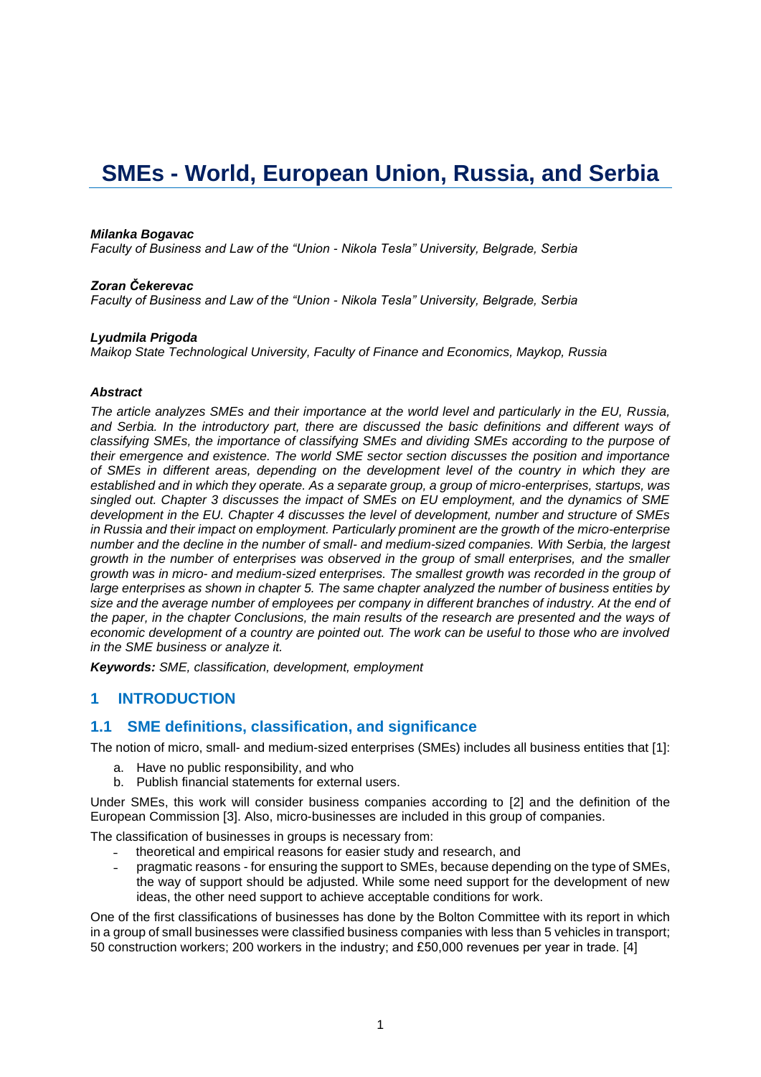# **SMEs - World, European Union, Russia, and Serbia**

#### *Milanka Bogavac*

*Faculty of Business and Law of the "Union - Nikola Tesla" University, Belgrade, Serbia*

#### *Zoran Čekerevac*

*Faculty of Business and Law of the "Union - Nikola Tesla" University, Belgrade, Serbia*

#### *Lyudmila Prigoda*

*Maikop State Technological University, Faculty of Finance and Economics, Maykop, Russia*

#### *Abstract*

*The article analyzes SMEs and their importance at the world level and particularly in the EU, Russia, and Serbia. In the introductory part, there are discussed the basic definitions and different ways of classifying SMEs, the importance of classifying SMEs and dividing SMEs according to the purpose of their emergence and existence. The world SME sector section discusses the position and importance of SMEs in different areas, depending on the development level of the country in which they are established and in which they operate. As a separate group, a group of micro-enterprises, startups, was singled out. Chapter 3 discusses the impact of SMEs on EU employment, and the dynamics of SME development in the EU. Chapter 4 discusses the level of development, number and structure of SMEs in Russia and their impact on employment. Particularly prominent are the growth of the micro-enterprise number and the decline in the number of small- and medium-sized companies. With Serbia, the largest growth in the number of enterprises was observed in the group of small enterprises, and the smaller growth was in micro- and medium-sized enterprises. The smallest growth was recorded in the group of large enterprises as shown in chapter 5. The same chapter analyzed the number of business entities by size and the average number of employees per company in different branches of industry. At the end of the paper, in the chapter Conclusions, the main results of the research are presented and the ways of economic development of a country are pointed out. The work can be useful to those who are involved in the SME business or analyze it.*

*Keywords: SME, classification, development, employment*

## **1 INTRODUCTION**

## **1.1 SME definitions, classification, and significance**

The notion of micro, small- and medium-sized enterprises (SMEs) includes all business entities that [1]:

- a. Have no public responsibility, and who
- b. Publish financial statements for external users.

Under SMEs, this work will consider business companies according to [2] and the definition of the European Commission [3]. Also, micro-businesses are included in this group of companies.

The classification of businesses in groups is necessary from:

- ˗ theoretical and empirical reasons for easier study and research, and
- ˗ pragmatic reasons for ensuring the support to SMEs, because depending on the type of SMEs, the way of support should be adjusted. While some need support for the development of new ideas, the other need support to achieve acceptable conditions for work.

One of the first classifications of businesses has done by the Bolton Committee with its report in which in a group of small businesses were classified business companies with less than 5 vehicles in transport; 50 construction workers; 200 workers in the industry; and £50,000 revenues per year in trade. [4]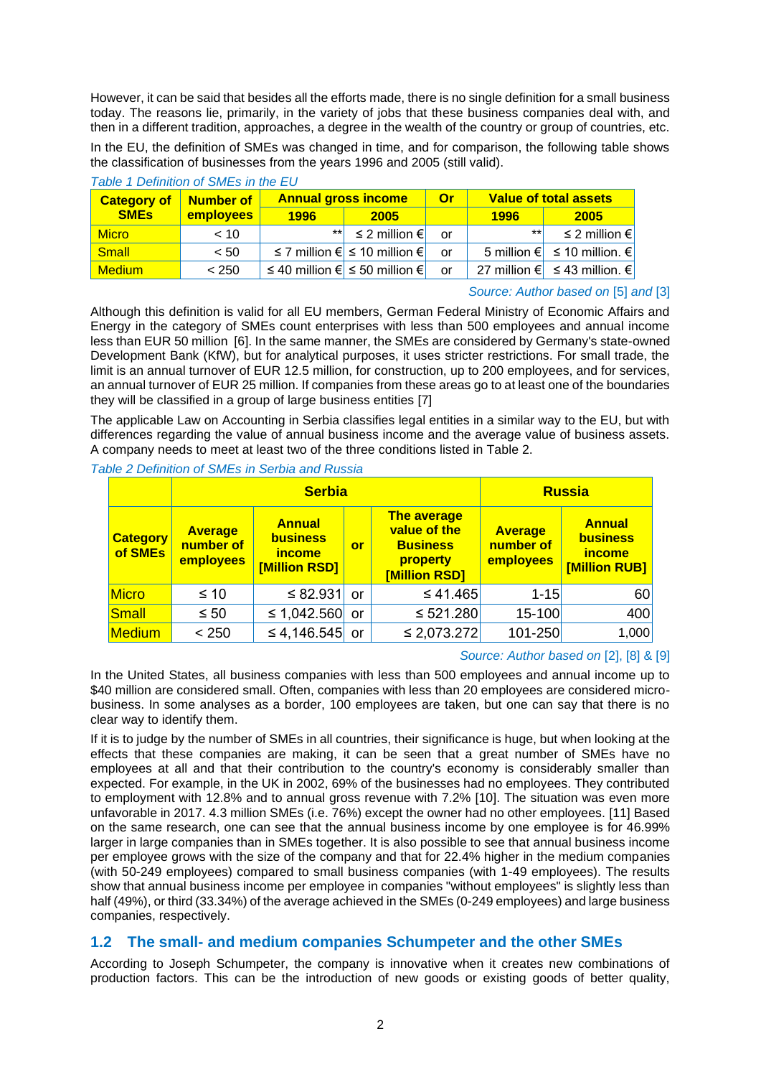However, it can be said that besides all the efforts made, there is no single definition for a small business today. The reasons lie, primarily, in the variety of jobs that these business companies deal with, and then in a different tradition, approaches, a degree in the wealth of the country or group of countries, etc. In the EU, the definition of SMEs was changed in time, and for comparison, the following table shows the classification of businesses from the years 1996 and 2005 (still valid).

| Number of<br><b>Category of</b> |           | <b>Annual gross income</b> |                                                 | <b>Or</b> | <b>Value of total assets</b> |                                   |  |
|---------------------------------|-----------|----------------------------|-------------------------------------------------|-----------|------------------------------|-----------------------------------|--|
| <b>SMEs</b>                     | employees | 1996                       | 2005                                            |           | 1996                         | 2005                              |  |
| <b>Micro</b>                    | $~<$ 10   | $*$ *                      | ≤ 2 million $€$                                 | or        | $***$                        | ≤ 2 million $€$                   |  |
| Small                           | < 50      |                            | ≤ 7 million $\epsilon$ ≤ 10 million $\epsilon$  | or        |                              | 5 million € $\leq$ 10 million. €  |  |
| <b>Medium</b>                   | < 250     |                            | ≤ 40 million $\epsilon$ ≤ 50 million $\epsilon$ | or        |                              | 27 million € $\leq$ 43 million. € |  |

### *Table 1 Definition of SMEs in the EU*

### *Source: Author based on* [5] *and* [3]

Although this definition is valid for all EU members, German Federal Ministry of Economic Affairs and Energy in the category of SMEs count enterprises with less than 500 employees and annual income less than EUR 50 million [6]. In the same manner, the SMEs are considered by Germany's state-owned Development Bank (KfW), but for analytical purposes, it uses stricter restrictions. For small trade, the limit is an annual turnover of EUR 12.5 million, for construction, up to 200 employees, and for services, an annual turnover of EUR 25 million. If companies from these areas go to at least one of the boundaries they will be classified in a group of large business entities [7]

The applicable Law on Accounting in Serbia classifies legal entities in a similar way to the EU, but with differences regarding the value of annual business income and the average value of business assets. A company needs to meet at least two of the three conditions listed in Table 2.

|                            |                                          | <b>Serbia</b>                                                      |    | <b>Russia</b>                                                                      |                                          |                                                             |
|----------------------------|------------------------------------------|--------------------------------------------------------------------|----|------------------------------------------------------------------------------------|------------------------------------------|-------------------------------------------------------------|
| <b>Category</b><br>of SMEs | <b>Average</b><br>number of<br>employees | <b>Annual</b><br><b>business</b><br><b>income</b><br>[Million RSD] | or | <b>The average</b><br>value of the<br><b>Business</b><br>property<br>[Million RSD] | <b>Average</b><br>number of<br>employees | <b>Annual</b><br>business<br><b>income</b><br>[Million RUB] |
| <b>Micro</b>               | $\leq 10$                                | $\leq 82.931$                                                      | or | ≤41.465                                                                            | $1 - 15$                                 | 60                                                          |
| Small                      | $\leq 50$                                | $\leq 1,042.560$                                                   | or | $\leq 521.280$                                                                     | 15-100                                   | 400                                                         |
| <b>Medium</b>              | < 250                                    | ≤ 4,146.545 or                                                     |    | $\leq$ 2,073.272                                                                   | $101 - 250$                              | 1,000                                                       |

### *Source: Author based on* [2], [8] & [9]

In the United States, all business companies with less than 500 employees and annual income up to \$40 million are considered small. Often, companies with less than 20 employees are considered microbusiness. In some analyses as a border, 100 employees are taken, but one can say that there is no clear way to identify them.

If it is to judge by the number of SMEs in all countries, their significance is huge, but when looking at the effects that these companies are making, it can be seen that a great number of SMEs have no employees at all and that their contribution to the country's economy is considerably smaller than expected. For example, in the UK in 2002, 69% of the businesses had no employees. They contributed to employment with 12.8% and to annual gross revenue with 7.2% [10]. The situation was even more unfavorable in 2017. 4.3 million SMEs (i.e. 76%) except the owner had no other employees. [11] Based on the same research, one can see that the annual business income by one employee is for 46.99% larger in large companies than in SMEs together. It is also possible to see that annual business income per employee grows with the size of the company and that for 22.4% higher in the medium companies (with 50-249 employees) compared to small business companies (with 1-49 employees). The results show that annual business income per employee in companies "without employees" is slightly less than half (49%), or third (33.34%) of the average achieved in the SMEs (0-249 employees) and large business companies, respectively.

# **1.2 The small- and medium companies Schumpeter and the other SMEs**

According to Joseph Schumpeter, the company is innovative when it creates new combinations of production factors. This can be the introduction of new goods or existing goods of better quality,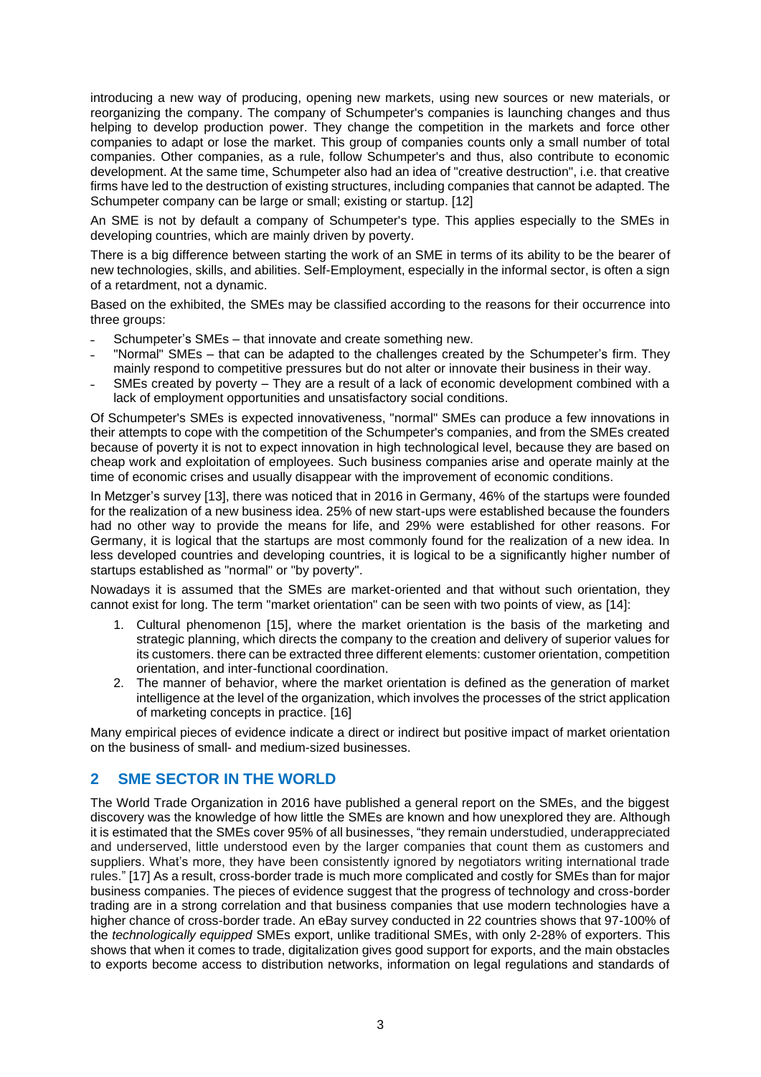introducing a new way of producing, opening new markets, using new sources or new materials, or reorganizing the company. The company of Schumpeter's companies is launching changes and thus helping to develop production power. They change the competition in the markets and force other companies to adapt or lose the market. This group of companies counts only a small number of total companies. Other companies, as a rule, follow Schumpeter's and thus, also contribute to economic development. At the same time, Schumpeter also had an idea of "creative destruction", i.e. that creative firms have led to the destruction of existing structures, including companies that cannot be adapted. The Schumpeter company can be large or small; existing or startup. [12]

An SME is not by default a company of Schumpeter's type. This applies especially to the SMEs in developing countries, which are mainly driven by poverty.

There is a big difference between starting the work of an SME in terms of its ability to be the bearer of new technologies, skills, and abilities. Self-Employment, especially in the informal sector, is often a sign of a retardment, not a dynamic.

Based on the exhibited, the SMEs may be classified according to the reasons for their occurrence into three groups:

- Schumpeter's SMEs that innovate and create something new.
- ˗ "Normal" SMEs that can be adapted to the challenges created by the Schumpeter's firm. They mainly respond to competitive pressures but do not alter or innovate their business in their way.
- SMEs created by poverty They are a result of a lack of economic development combined with a lack of employment opportunities and unsatisfactory social conditions.

Of Schumpeter's SMEs is expected innovativeness, "normal" SMEs can produce a few innovations in their attempts to cope with the competition of the Schumpeter's companies, and from the SMEs created because of poverty it is not to expect innovation in high technological level, because they are based on cheap work and exploitation of employees. Such business companies arise and operate mainly at the time of economic crises and usually disappear with the improvement of economic conditions.

In Metzger's survey [13], there was noticed that in 2016 in Germany, 46% of the startups were founded for the realization of a new business idea. 25% of new start-ups were established because the founders had no other way to provide the means for life, and 29% were established for other reasons. For Germany, it is logical that the startups are most commonly found for the realization of a new idea. In less developed countries and developing countries, it is logical to be a significantly higher number of startups established as "normal" or "by poverty".

Nowadays it is assumed that the SMEs are market-oriented and that without such orientation, they cannot exist for long. The term "market orientation" can be seen with two points of view, as [14]:

- 1. Cultural phenomenon [15], where the market orientation is the basis of the marketing and strategic planning, which directs the company to the creation and delivery of superior values for its customers. there can be extracted three different elements: customer orientation, competition orientation, and inter-functional coordination.
- 2. The manner of behavior, where the market orientation is defined as the generation of market intelligence at the level of the organization, which involves the processes of the strict application of marketing concepts in practice. [16]

Many empirical pieces of evidence indicate a direct or indirect but positive impact of market orientation on the business of small- and medium-sized businesses.

# **2 SME SECTOR IN THE WORLD**

The World Trade Organization in 2016 have published a general report on the SMEs, and the biggest discovery was the knowledge of how little the SMEs are known and how unexplored they are. Although it is estimated that the SMEs cover 95% of all businesses, "they remain understudied, underappreciated and underserved, little understood even by the larger companies that count them as customers and suppliers. What's more, they have been consistently ignored by negotiators writing international trade rules." [17] As a result, cross-border trade is much more complicated and costly for SMEs than for major business companies. The pieces of evidence suggest that the progress of technology and cross-border trading are in a strong correlation and that business companies that use modern technologies have a higher chance of cross-border trade. An eBay survey conducted in 22 countries shows that 97-100% of the *technologically equipped* SMEs export, unlike traditional SMEs, with only 2-28% of exporters. This shows that when it comes to trade, digitalization gives good support for exports, and the main obstacles to exports become access to distribution networks, information on legal regulations and standards of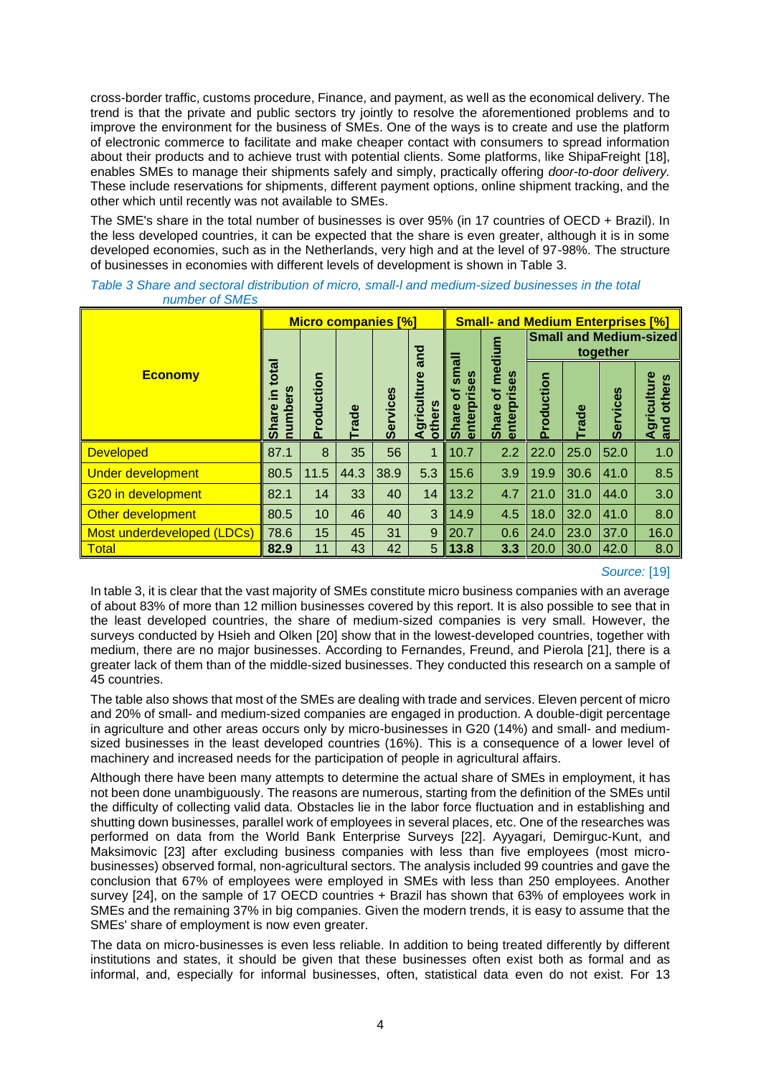cross-border traffic, customs procedure, Finance, and payment, as well as the economical delivery. The trend is that the private and public sectors try jointly to resolve the aforementioned problems and to improve the environment for the business of SMEs. One of the ways is to create and use the platform of electronic commerce to facilitate and make cheaper contact with consumers to spread information about their products and to achieve trust with potential clients. Some platforms, like ShipaFreight [18], enables SMEs to manage their shipments safely and simply, practically offering *door-to-door delivery.* These include reservations for shipments, different payment options, online shipment tracking, and the other which until recently was not available to SMEs.

The SME's share in the total number of businesses is over 95% (in 17 countries of OECD + Brazil). In the less developed countries, it can be expected that the share is even greater, although it is in some developed economies, such as in the Netherlands, very high and at the level of 97-98%. The structure of businesses in economies with different levels of development is shown in Table 3.

|                            | <b>Micro companies [%]</b>                                           |            |              |                 |                           | <b>Small- and Medium Enterprises [%]</b> |                                                     |            |              |                 |                              |
|----------------------------|----------------------------------------------------------------------|------------|--------------|-----------------|---------------------------|------------------------------------------|-----------------------------------------------------|------------|--------------|-----------------|------------------------------|
|                            |                                                                      |            |              | and             |                           | edium                                    | <b>Small and Medium-sized</b><br>together           |            |              |                 |                              |
| <b>Economy</b>             | total<br>ဖ္ပ<br>Ξ<br>$\overline{\mathbf{a}}$<br><b>Share</b><br>numb | Production | <b>Trade</b> | <b>Services</b> | Agriculture<br>n<br>other | rises<br>ក<br>Ο<br><b>Share</b><br>enter | ΘS<br>έ<br><u>e</u><br>ិ៍<br>enterp<br><b>Share</b> | Production | <b>Trade</b> | <b>Services</b> | Agriculture<br>others<br>and |
| <b>Developed</b>           | 87.1                                                                 | 8          | 35           | 56              | 1                         | 10.7                                     | 2.2                                                 | 22.0       | 25.0         | 52.0            | 1.0                          |
| <b>Under development</b>   | 80.5                                                                 | 11.5       | 44.3         | 38.9            | 5.3                       | 15.6                                     | 3.9                                                 | 19.9       | 30.6         | 41.0            | 8.5                          |
| G20 in development         | 82.1                                                                 | 14         | 33           | 40              | 14                        | 13.2                                     | 4.7                                                 | 21.0       | 31.0         | 44.0            | 3.0                          |
| Other development          | 80.5                                                                 | 10         | 46           | 40              | 3                         | 14.9                                     | 4.5                                                 | 18.0       | 32.0         | 41.0            | 8.0                          |
| Most underdeveloped (LDCs) | 78.6                                                                 | 15         | 45           | 31              | 9                         | 20.7                                     | 0.6                                                 | 24.0       | 23.0         | 37.0            | 16.0                         |
| <b>Total</b>               | 82.9                                                                 | 11         | 43           | 42              | 5                         | 13.8                                     | 3.3                                                 | 20.0       | 30.0         | 42.0            | 8.0                          |

*Table 3 Share and sectoral distribution of micro, small-l and medium-sized businesses in the total number of SMEs*

### *Source:* [19]

In table 3, it is clear that the vast majority of SMEs constitute micro business companies with an average of about 83% of more than 12 million businesses covered by this report. It is also possible to see that in the least developed countries, the share of medium-sized companies is very small. However, the surveys conducted by Hsieh and Olken [20] show that in the lowest-developed countries, together with medium, there are no major businesses. According to Fernandes, Freund, and Pierola [21], there is a greater lack of them than of the middle-sized businesses. They conducted this research on a sample of 45 countries.

The table also shows that most of the SMEs are dealing with trade and services. Eleven percent of micro and 20% of small- and medium-sized companies are engaged in production. A double-digit percentage in agriculture and other areas occurs only by micro-businesses in G20 (14%) and small- and mediumsized businesses in the least developed countries (16%). This is a consequence of a lower level of machinery and increased needs for the participation of people in agricultural affairs.

Although there have been many attempts to determine the actual share of SMEs in employment, it has not been done unambiguously. The reasons are numerous, starting from the definition of the SMEs until the difficulty of collecting valid data. Obstacles lie in the labor force fluctuation and in establishing and shutting down businesses, parallel work of employees in several places, etc. One of the researches was performed on data from the World Bank Enterprise Surveys [22]. Ayyagari, Demirguc-Kunt, and Maksimovic [23] after excluding business companies with less than five employees (most microbusinesses) observed formal, non-agricultural sectors. The analysis included 99 countries and gave the conclusion that 67% of employees were employed in SMEs with less than 250 employees. Another survey [24], on the sample of 17 OECD countries + Brazil has shown that 63% of employees work in SMEs and the remaining 37% in big companies. Given the modern trends, it is easy to assume that the SMEs' share of employment is now even greater.

The data on micro-businesses is even less reliable. In addition to being treated differently by different institutions and states, it should be given that these businesses often exist both as formal and as informal, and, especially for informal businesses, often, statistical data even do not exist. For 13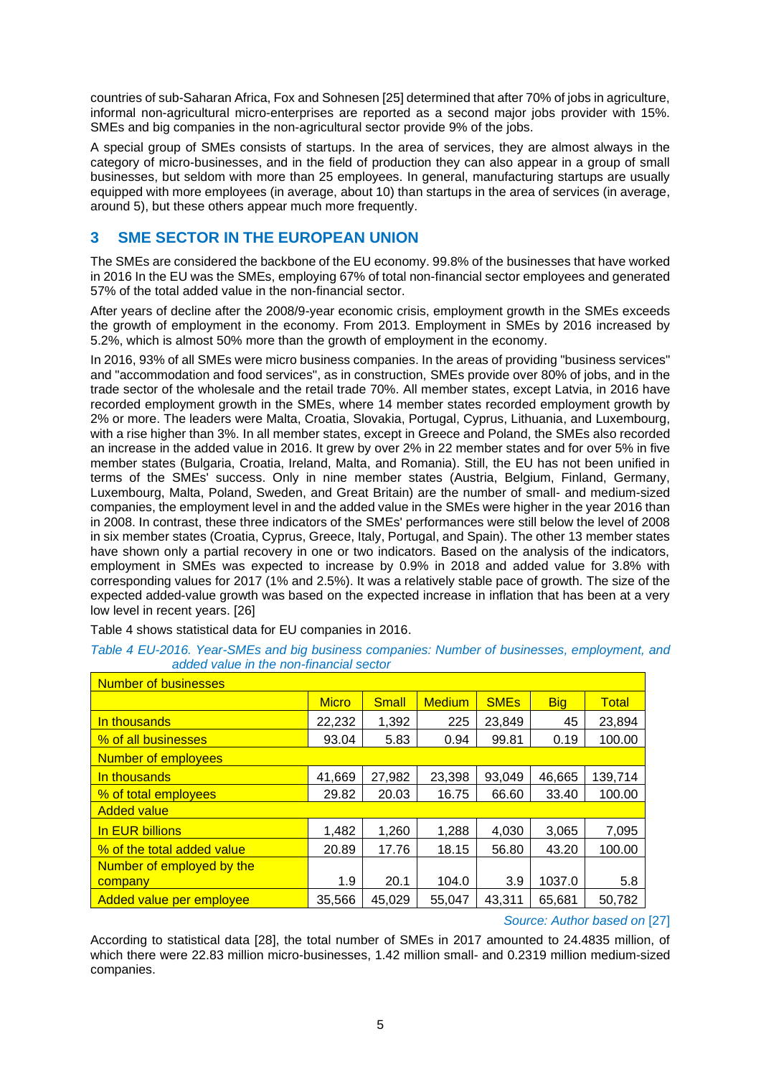countries of sub-Saharan Africa, Fox and Sohnesen [25] determined that after 70% of jobs in agriculture, informal non-agricultural micro-enterprises are reported as a second major jobs provider with 15%. SMEs and big companies in the non-agricultural sector provide 9% of the jobs.

A special group of SMEs consists of startups. In the area of services, they are almost always in the category of micro-businesses, and in the field of production they can also appear in a group of small businesses, but seldom with more than 25 employees. In general, manufacturing startups are usually equipped with more employees (in average, about 10) than startups in the area of services (in average, around 5), but these others appear much more frequently.

# **3 SME SECTOR IN THE EUROPEAN UNION**

The SMEs are considered the backbone of the EU economy. 99.8% of the businesses that have worked in 2016 In the EU was the SMEs, employing 67% of total non-financial sector employees and generated 57% of the total added value in the non-financial sector.

After years of decline after the 2008/9-year economic crisis, employment growth in the SMEs exceeds the growth of employment in the economy. From 2013. Employment in SMEs by 2016 increased by 5.2%, which is almost 50% more than the growth of employment in the economy.

In 2016, 93% of all SMEs were micro business companies. In the areas of providing "business services" and "accommodation and food services", as in construction, SMEs provide over 80% of jobs, and in the trade sector of the wholesale and the retail trade 70%. All member states, except Latvia, in 2016 have recorded employment growth in the SMEs, where 14 member states recorded employment growth by 2% or more. The leaders were Malta, Croatia, Slovakia, Portugal, Cyprus, Lithuania, and Luxembourg, with a rise higher than 3%. In all member states, except in Greece and Poland, the SMEs also recorded an increase in the added value in 2016. It grew by over 2% in 22 member states and for over 5% in five member states (Bulgaria, Croatia, Ireland, Malta, and Romania). Still, the EU has not been unified in terms of the SMEs' success. Only in nine member states (Austria, Belgium, Finland, Germany, Luxembourg, Malta, Poland, Sweden, and Great Britain) are the number of small- and medium-sized companies, the employment level in and the added value in the SMEs were higher in the year 2016 than in 2008. In contrast, these three indicators of the SMEs' performances were still below the level of 2008 in six member states (Croatia, Cyprus, Greece, Italy, Portugal, and Spain). The other 13 member states have shown only a partial recovery in one or two indicators. Based on the analysis of the indicators, employment in SMEs was expected to increase by 0.9% in 2018 and added value for 3.8% with corresponding values for 2017 (1% and 2.5%). It was a relatively stable pace of growth. The size of the expected added-value growth was based on the expected increase in inflation that has been at a very low level in recent years. [26]

Table 4 shows statistical data for EU companies in 2016.

#### *Table 4 EU-2016. Year-SMEs and big business companies: Number of businesses, employment, and added value in the non-financial sector*

| <b>Number of businesses</b> |              |              |               |                        |            |              |  |  |  |
|-----------------------------|--------------|--------------|---------------|------------------------|------------|--------------|--|--|--|
|                             | <b>Micro</b> | <b>Small</b> | <b>Medium</b> | <b>SME<sub>s</sub></b> | <b>Big</b> | <b>Total</b> |  |  |  |
| In thousands                | 22,232       | 1,392        | 225           | 23,849                 | 45         | 23,894       |  |  |  |
| % of all businesses         | 93.04        | 5.83         | 0.94          | 99.81                  | 0.19       | 100.00       |  |  |  |
| Number of employees         |              |              |               |                        |            |              |  |  |  |
| In thousands                | 41,669       | 27,982       | 23,398        | 93,049                 | 46,665     | 139,714      |  |  |  |
| % of total employees        | 29.82        | 20.03        | 16.75         | 66.60                  | 33.40      | 100.00       |  |  |  |
| <b>Added value</b>          |              |              |               |                        |            |              |  |  |  |
| In EUR billions             | 1,482        | 1,260        | 1,288         | 4,030                  | 3.065      | 7,095        |  |  |  |
| % of the total added value  | 20.89        | 17.76        | 18.15         | 56.80                  | 43.20      | 100.00       |  |  |  |
| Number of employed by the   |              |              |               |                        |            |              |  |  |  |
| company                     | 1.9          | 20.1         | 104.0         | 3.9                    | 1037.0     | 5.8          |  |  |  |
| l Added value per emploveel | 35.566       | 45.029       | 55,047        | 43,311                 | 65,681     | 50,782       |  |  |  |

*Source: Author based on* [27]

According to statistical data [28], the total number of SMEs in 2017 amounted to 24.4835 million, of which there were 22.83 million micro-businesses, 1.42 million small- and 0.2319 million medium-sized companies.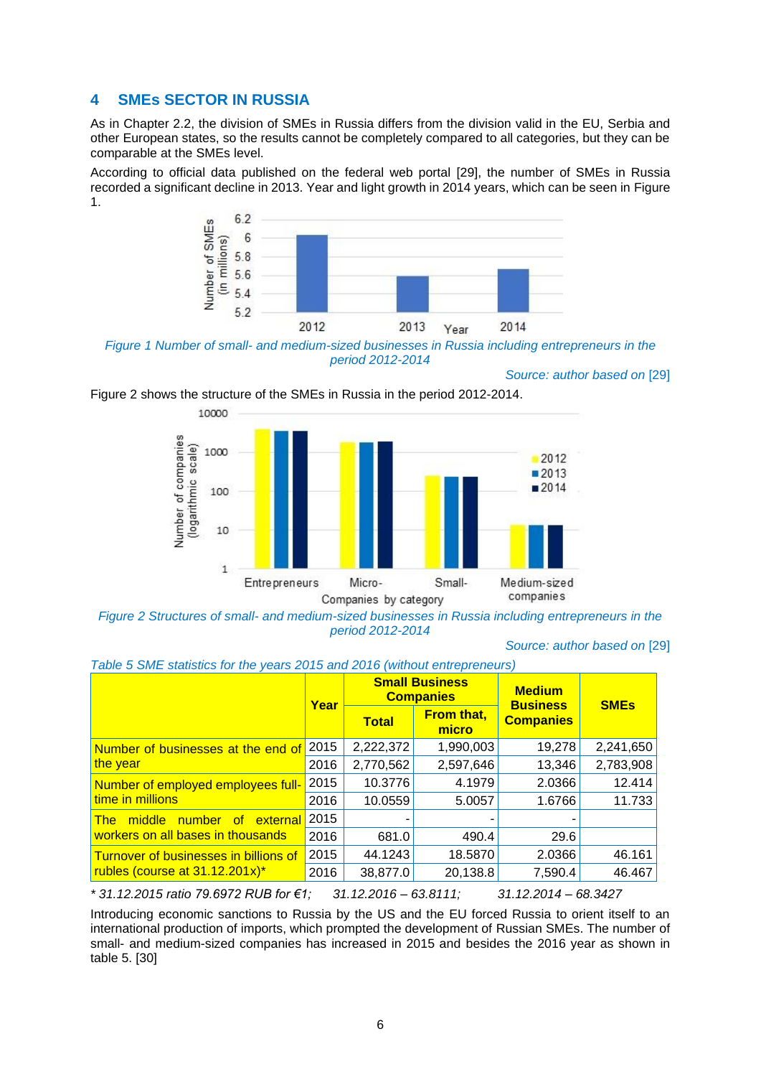# **4 SMEs SECTOR IN RUSSIA**

As in Chapter 2.2, the division of SMEs in Russia differs from the division valid in the EU, Serbia and other European states, so the results cannot be completely compared to all categories, but they can be comparable at the SMEs level.

According to official data published on the federal web portal [29], the number of SMEs in Russia recorded a significant decline in 2013. Year and light growth in 2014 years, which can be seen in Figure 1.



*Figure 1 Number of small- and medium-sized businesses in Russia including entrepreneurs in the period 2012-2014*



Figure 2 shows the structure of the SMEs in Russia in the period 2012-2014.

*Figure 2 Structures of small- and medium-sized businesses in Russia including entrepreneurs in the period 2012-2014*

#### *Source: author based on* [29]

*Source: author based on* [29]

|                                       | Year |              | <b>Small Business</b><br><b>Companies</b> | <b>Medium</b>                       | <b>SME<sub>s</sub></b> |  |
|---------------------------------------|------|--------------|-------------------------------------------|-------------------------------------|------------------------|--|
|                                       |      | <b>Total</b> | <b>From that,</b><br>micro                | <b>Business</b><br><b>Companies</b> |                        |  |
| Number of businesses at the end of    | 2015 | 2,222,372    | 1,990,003                                 | 19,278                              | 2,241,650              |  |
| the year                              | 2016 | 2,770,562    | 2,597,646                                 | 13,346                              | 2,783,908              |  |
| Number of employed employees full-    | 2015 | 10.3776      | 4.1979                                    | 2.0366                              | 12.414                 |  |
| time in millions                      | 2016 | 10.0559      | 5.0057                                    | 1.6766                              | 11.733                 |  |
| middle number of<br>external<br>The:  | 2015 |              |                                           |                                     |                        |  |
| workers on all bases in thousands     | 2016 | 681.0        | 490.4                                     | 29.6                                |                        |  |
| Turnover of businesses in billions of | 2015 | 44.1243      | 18.5870                                   | 2.0366                              | 46.161                 |  |
| rubles (course at 31.12.201x)*        | 2016 | 38,877.0     | 20,138.8                                  | 7,590.4                             | 46.467                 |  |

*Table 5 SME statistics for the years 2015 and 2016 (without entrepreneurs)*

*\* 31.12.2015 ratio 79.6972 RUB for €1; 31.12.2016 – 63.8111; 31.12.2014 – 68.3427*

Introducing economic sanctions to Russia by the US and the EU forced Russia to orient itself to an international production of imports, which prompted the development of Russian SMEs. The number of small- and medium-sized companies has increased in 2015 and besides the 2016 year as shown in table 5. [30]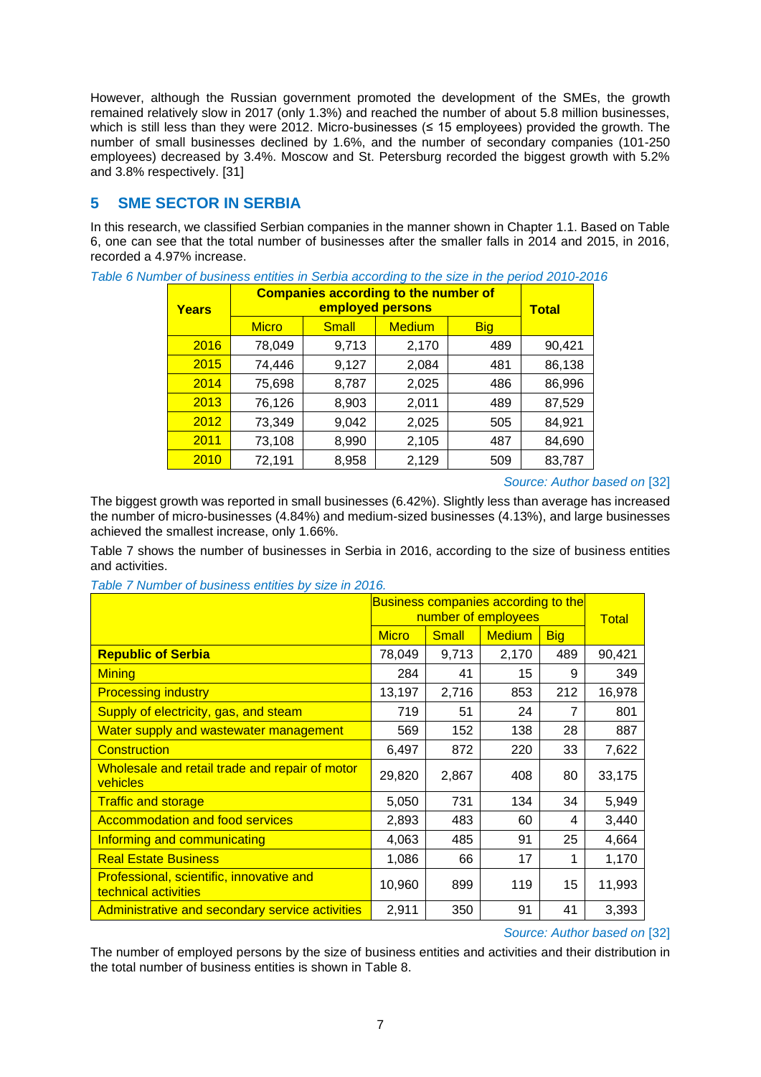However, although the Russian government promoted the development of the SMEs, the growth remained relatively slow in 2017 (only 1.3%) and reached the number of about 5.8 million businesses, which is still less than they were 2012. Micro-businesses ( $\leq$  15 employees) provided the growth. The number of small businesses declined by 1.6%, and the number of secondary companies (101-250 employees) decreased by 3.4%. Moscow and St. Petersburg recorded the biggest growth with 5.2% and 3.8% respectively. [31]

# **5 SME SECTOR IN SERBIA**

In this research, we classified Serbian companies in the manner shown in Chapter 1.1. Based on Table 6, one can see that the total number of businesses after the smaller falls in 2014 and 2015, in 2016, recorded a 4.97% increase.

| <b>Years</b> | <b>Companies according to the number of</b><br>employed persons |       |               |            |        |  |  |  |  |
|--------------|-----------------------------------------------------------------|-------|---------------|------------|--------|--|--|--|--|
|              | <b>Micro</b>                                                    | Small | <b>Medium</b> | <b>Big</b> |        |  |  |  |  |
| 2016         | 78,049                                                          | 9,713 | 2,170         | 489        | 90,421 |  |  |  |  |
| 2015         | 74,446                                                          | 9,127 | 2,084         | 481        | 86,138 |  |  |  |  |
| 2014         | 75,698                                                          | 8,787 | 2,025         | 486        | 86,996 |  |  |  |  |
| 2013         | 76,126                                                          | 8,903 | 2,011         | 489        | 87,529 |  |  |  |  |
| 2012         | 73,349                                                          | 9,042 | 2,025         | 505        | 84,921 |  |  |  |  |
| 2011         | 73,108                                                          | 8,990 | 2,105         | 487        | 84,690 |  |  |  |  |
| 2010         | 72,191                                                          | 8,958 | 2,129         | 509        | 83,787 |  |  |  |  |

*Table 6 Number of business entities in Serbia according to the size in the period 2010-2016*

*Source: Author based on* [32]

The biggest growth was reported in small businesses (6.42%). Slightly less than average has increased the number of micro-businesses (4.84%) and medium-sized businesses (4.13%), and large businesses achieved the smallest increase, only 1.66%.

Table 7 shows the number of businesses in Serbia in 2016, according to the size of business entities and activities.

*Table 7 Number of business entities by size in 2016.*

|                                                                         | <b>Business companies according to the</b><br>number of employees |              | Total         |            |        |
|-------------------------------------------------------------------------|-------------------------------------------------------------------|--------------|---------------|------------|--------|
|                                                                         | <b>Micro</b>                                                      | <b>Small</b> | <b>Medium</b> | <b>Big</b> |        |
| <b>Republic of Serbia</b>                                               | 78,049                                                            | 9,713        | 2,170         | 489        | 90,421 |
| <b>Mining</b>                                                           | 284                                                               | 41           | 15            | 9          | 349    |
| <b>Processing industry</b>                                              | 13,197                                                            | 2,716        | 853           | 212        | 16,978 |
| Supply of electricity, gas, and steam                                   | 719                                                               | 51           | 24            | 7          | 801    |
| Water supply and wastewater management                                  | 569                                                               | 152          | 138           | 28         | 887    |
| Construction                                                            | 6,497                                                             | 872          | 220           | 33         | 7,622  |
| Wholesale and retail trade and repair of motor<br>vehicles              | 29,820                                                            | 2,867        | 408           | 80         | 33,175 |
| <b>Traffic and storage</b>                                              | 5,050                                                             | 731          | 134           | 34         | 5,949  |
| <b>Accommodation and food services</b>                                  | 2,893                                                             | 483          | 60            | 4          | 3,440  |
| Informing and communicating                                             | 4,063                                                             | 485          | 91            | 25         | 4,664  |
| <b>Real Estate Business</b>                                             | 1,086                                                             | 66           | 17            | 1          | 1,170  |
| <b>Professional, scientific, innovative and</b><br>technical activities | 10,960                                                            | 899          | 119           | 15         | 11,993 |
| Administrative and secondary service activities                         | 2,911                                                             | 350          | 91            | 41         | 3,393  |

*Source: Author based on* [32]

The number of employed persons by the size of business entities and activities and their distribution in the total number of business entities is shown in Table 8.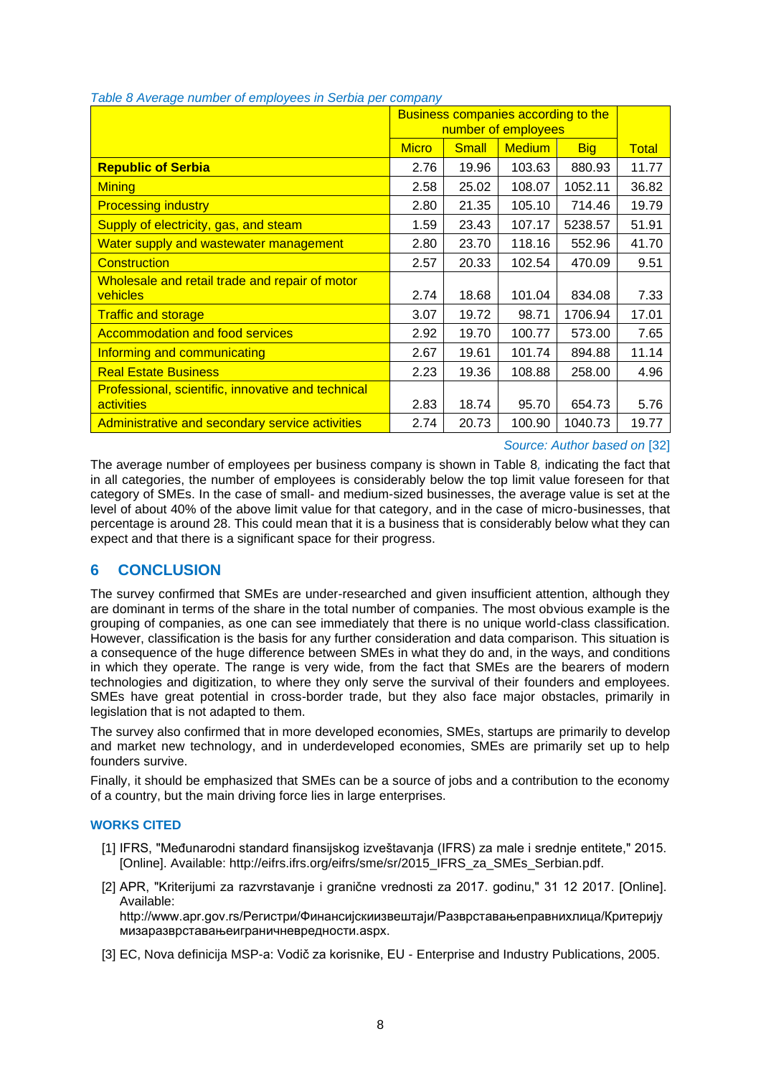|                                                           |              | Business companies according to the |                     |            |              |  |  |  |
|-----------------------------------------------------------|--------------|-------------------------------------|---------------------|------------|--------------|--|--|--|
|                                                           |              |                                     | number of employees |            |              |  |  |  |
|                                                           | <b>Micro</b> | <b>Small</b>                        | <b>Medium</b>       | <b>Big</b> | <b>Total</b> |  |  |  |
| <b>Republic of Serbia</b>                                 | 2.76         | 19.96                               | 103.63              | 880.93     | 11.77        |  |  |  |
| <b>Mining</b>                                             | 2.58         | 25.02                               | 108.07              | 1052.11    | 36.82        |  |  |  |
| <b>Processing industry</b>                                | 2.80         | 21.35                               | 105.10              | 714.46     | 19.79        |  |  |  |
| Supply of electricity, gas, and steam                     | 1.59         | 23.43                               | 107.17              | 5238.57    | 51.91        |  |  |  |
| Water supply and wastewater management                    | 2.80         | 23.70                               | 118.16              | 552.96     | 41.70        |  |  |  |
| <b>Construction</b>                                       | 2.57         | 20.33                               | 102.54              | 470.09     | 9.51         |  |  |  |
| Wholesale and retail trade and repair of motor            |              |                                     |                     |            |              |  |  |  |
| vehicles                                                  | 2.74         | 18.68                               | 101.04              | 834.08     | 7.33         |  |  |  |
| <b>Traffic and storage</b>                                | 3.07         | 19.72                               | 98.71               | 1706.94    | 17.01        |  |  |  |
| <b>Accommodation and food services</b>                    | 2.92         | 19.70                               | 100.77              | 573.00     | 7.65         |  |  |  |
| Informing and communicating                               | 2.67         | 19.61                               | 101.74              | 894.88     | 11.14        |  |  |  |
| <b>Real Estate Business</b>                               | 2.23         | 19.36                               | 108.88              | 258.00     | 4.96         |  |  |  |
| <b>Professional, scientific, innovative and technical</b> |              |                                     |                     |            |              |  |  |  |
| activities                                                | 2.83         | 18.74                               | 95.70               | 654.73     | 5.76         |  |  |  |
| Administrative and secondary service activities           | 2.74         | 20.73                               | 100.90              | 1040.73    | 19.77        |  |  |  |

*Table 8 Average number of employees in Serbia per company*

### *Source: Author based on* [32]

The average number of employees per business company is shown in Table 8*,* indicating the fact that in all categories, the number of employees is considerably below the top limit value foreseen for that category of SMEs. In the case of small- and medium-sized businesses, the average value is set at the level of about 40% of the above limit value for that category, and in the case of micro-businesses, that percentage is around 28. This could mean that it is a business that is considerably below what they can expect and that there is a significant space for their progress.

# **6 CONCLUSION**

The survey confirmed that SMEs are under-researched and given insufficient attention, although they are dominant in terms of the share in the total number of companies. The most obvious example is the grouping of companies, as one can see immediately that there is no unique world-class classification. However, classification is the basis for any further consideration and data comparison. This situation is a consequence of the huge difference between SMEs in what they do and, in the ways, and conditions in which they operate. The range is very wide, from the fact that SMEs are the bearers of modern technologies and digitization, to where they only serve the survival of their founders and employees. SMEs have great potential in cross-border trade, but they also face major obstacles, primarily in legislation that is not adapted to them.

The survey also confirmed that in more developed economies, SMEs, startups are primarily to develop and market new technology, and in underdeveloped economies, SMEs are primarily set up to help founders survive.

Finally, it should be emphasized that SMEs can be a source of jobs and a contribution to the economy of a country, but the main driving force lies in large enterprises.

### **WORKS CITED**

- [1] IFRS, "Međunarodni standard finansijskog izveštavanja (IFRS) za male i srednje entitete," 2015. [Online]. Available: http://eifrs.ifrs.org/eifrs/sme/sr/2015\_IFRS\_za\_SMEs\_Serbian.pdf.
- [2] APR, "Kriterijumi za razvrstavanje i granične vrednosti za 2017. godinu," 31 12 2017. [Online]. Available:

http://www.apr.gov.rs/Регистри/Финансијскиизвештаји/Разврставањеправнихлица/Критерију мизаразврставањеиграничневредности.aspx.

[3] EC, Nova definicija MSP-a: Vodič za korisnike, EU - Enterprise and Industry Publications, 2005.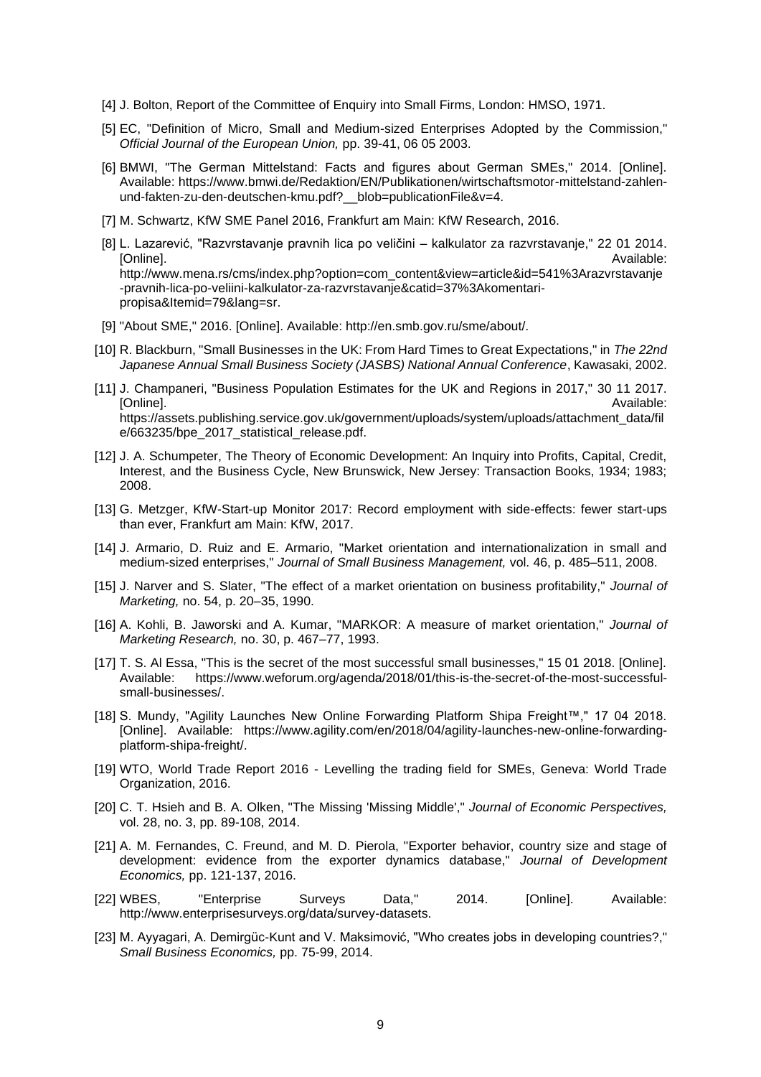- [4] J. Bolton, Report of the Committee of Enquiry into Small Firms, London: HMSO, 1971.
- [5] EC, "Definition of Micro, Small and Medium-sized Enterprises Adopted by the Commission," *Official Journal of the European Union,* pp. 39-41, 06 05 2003.
- [6] BMWI, "The German Mittelstand: Facts and figures about German SMEs," 2014. [Online]. Available: https://www.bmwi.de/Redaktion/EN/Publikationen/wirtschaftsmotor-mittelstand-zahlenund-fakten-zu-den-deutschen-kmu.pdf? blob=publicationFile&v=4.
- [7] M. Schwartz, KfW SME Panel 2016, Frankfurt am Main: KfW Research, 2016.
- [8] L. Lazarević, "Razvrstavanje pravnih lica po veličini kalkulator za razvrstavanje," 22 01 2014. [Online]. Available: http://www.mena.rs/cms/index.php?option=com\_content&view=article&id=541%3Arazvrstavanje -pravnih-lica-po-veliini-kalkulator-za-razvrstavanje&catid=37%3Akomentaripropisa&Itemid=79&lang=sr.
- [9] "About SME," 2016. [Online]. Available: http://en.smb.gov.ru/sme/about/.
- [10] R. Blackburn, "Small Businesses in the UK: From Hard Times to Great Expectations," in *The 22nd Japanese Annual Small Business Society (JASBS) National Annual Conference*, Kawasaki, 2002.
- [11] J. Champaneri, "Business Population Estimates for the UK and Regions in 2017," 30 11 2017. [Online]. Available: https://assets.publishing.service.gov.uk/government/uploads/system/uploads/attachment\_data/fil e/663235/bpe\_2017\_statistical\_release.pdf.
- [12] J. A. Schumpeter, The Theory of Economic Development: An Inquiry into Profits, Capital, Credit, Interest, and the Business Cycle, New Brunswick, New Jersey: Transaction Books, 1934; 1983; 2008.
- [13] G. Metzger, KfW-Start-up Monitor 2017: Record employment with side-effects: fewer start-ups than ever, Frankfurt am Main: KfW, 2017.
- [14] J. Armario, D. Ruiz and E. Armario, "Market orientation and internationalization in small and medium-sized enterprises," *Journal of Small Business Management,* vol. 46, p. 485–511, 2008.
- [15] J. Narver and S. Slater, "The effect of a market orientation on business profitability," *Journal of Marketing,* no. 54, p. 20–35, 1990.
- [16] A. Kohli, B. Jaworski and A. Kumar, "MARKOR: A measure of market orientation," *Journal of Marketing Research,* no. 30, p. 467–77, 1993.
- [17] T. S. Al Essa, "This is the secret of the most successful small businesses," 15 01 2018. [Online]. Available: https://www.weforum.org/agenda/2018/01/this-is-the-secret-of-the-most-successfulsmall-businesses/.
- [18] S. Mundy, "Agility Launches New Online Forwarding Platform Shipa Freight™," 17 04 2018. [Online]. Available: https://www.agility.com/en/2018/04/agility-launches-new-online-forwardingplatform-shipa-freight/.
- [19] WTO, World Trade Report 2016 Levelling the trading field for SMEs, Geneva: World Trade Organization, 2016.
- [20] C. T. Hsieh and B. A. Olken, "The Missing 'Missing Middle'," *Journal of Economic Perspectives,*  vol. 28, no. 3, pp. 89-108, 2014.
- [21] A. M. Fernandes, C. Freund, and M. D. Pierola, "Exporter behavior, country size and stage of development: evidence from the exporter dynamics database," *Journal of Development Economics,* pp. 121-137, 2016.
- [22] WBES, "Enterprise Surveys Data," 2014. [Online]. Available: http://www.enterprisesurveys.org/data/survey-datasets.
- [23] M. Ayyagari, A. Demirgüc-Kunt and V. Maksimović, "Who creates jobs in developing countries?," *Small Business Economics,* pp. 75-99, 2014.